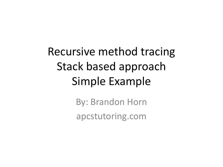Recursive method tracing Stack based approach Simple Example

> By: Brandon Horn apcstutoring.com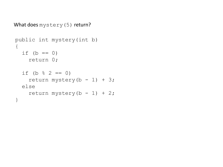```
What does mystery(5) return?
```

```
public int mystery(int b)
{
  if (b == 0) return 0;
  if (b \frac{6}{6} 2 == 0)
    return mystery(b - 1) + 3;
   else
    return mystery(b - 1) + 2;
}
```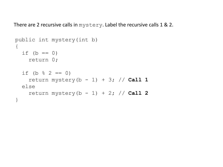There are 2 recursive calls in mystery. Label the recursive calls 1 & 2.

```
public int mystery(int b)
\{if (b == 0) return 0;
  if (b \frac{6}{3} 2 == 0)
    return mystery(b - 1) + 3; // Call 1
   else
    return mystery(b - 1) + 2; // Call 2
}
```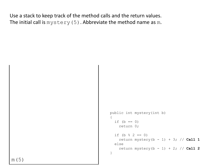Use a stack to keep track of the method calls and the return values. The initial call is  $m$ ystery(5). Abbreviate the method name as  $m$ .

```
public int mystery(int b)
{
  if (b == 0) return 0;
  if (b \frac{6}{3} 2 == 0)
    return mystery(b - 1) + 3; // Call 1
   else
     return mystery(b - 1) + 2; // Call 2
}
```
m(5)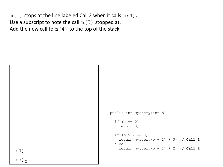$m(5)$  stops at the line labeled Call 2 when it calls  $m(4)$ . Use a subscript to note the call  $m(5)$  stopped at. Add the new call to  $m(4)$  to the top of the stack.

```
public int mystery(int b)
{
  if (b == 0) return 0;
  if (b \frac{6}{3} 2 == 0)
    return mystery(b - 1) + 3; // Call 1
   else
     return mystery(b - 1) + 2; // Call 2
}
```
m(4) m (5)  $\frac{1}{2}$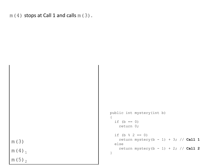```
m(4) stops at Call 1 and calls m(3).
```
m(3) m(4)<sub>1</sub> m(5)<sub>2</sub>

```
public int mystery(int b)
{
  if (b == 0) return 0;
  if (b \frac{6}{3} 2 == 0)
    return mystery(b - 1) + 3; // Call 1
   else
     return mystery(b - 1) + 2; // Call 2
}
```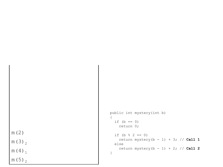m(2) m(3) 2 m ( 4 ) <sub>1</sub> m (5) <sub>2</sub>

```
public int mystery(int b) {
 if (b == 0) return 0;
  if (b % 2 == 0)
 return mystery(b 
- 1) + 3; // Call 1
   else
 return mystery(b 
- 1) + 2; // Call 2
}
```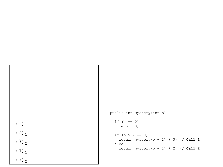m(1) m (2) <sub>1</sub> m(3) 2 m ( 4 ) <sub>1</sub>

m (5) <sub>2</sub>

```
public int mystery(int b) {
  if (b == 0) return 0;
  if (b % 2 == 0)
 return mystery(b 
- 1) + 3; // Call 1
   else
 return mystery(b 
- 1) + 2; // Call 2
}
```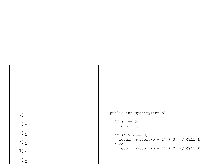m(0) m(1) 2 m (2) <sub>1</sub>

m(3) 2

m ( 4 ) <sub>1</sub>

m (5) <sub>2</sub>

```
public int mystery(int b) {
  if (b == 0) return 0;
  if (b % 2 == 0)
 return mystery(b 
- 1) + 3; // Call 1
   else
 return mystery(b 
- 1) + 2; // Call 2
}
```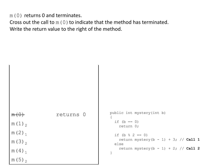m(0) returns 0 and terminates.

Cross out the call to  $m(0)$  to indicate that the method has terminated. Write the return value to the right of the method.

 $m(\theta)$  returns 0  $m(1)$ <sub>2</sub> m  $(2)$ <sub>1</sub> m(3)<sub>2</sub> m(4)<sub>1</sub> m (5)  $\frac{1}{2}$ public int mystery(int b) { if  $(b == 0)$  return 0; if (b  $\frac{6}{3}$  2 == 0) return mystery( $b - 1$ ) + 3; // **Call 1**  else return mystery(b - 1) + 2; // **Call 2** }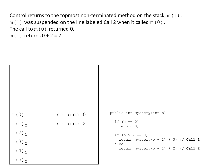Control returns to the topmost non-terminated method on the stack,  $m(1)$ .  $m(1)$  was suspended on the line labeled Call 2 when it called  $m(0)$ . The call to  $m(0)$  returned 0.  $m(1)$  returns  $0 + 2 = 2$ .

```
returns 0
                         returns 2
m (2)<sub>1</sub>
m(3)<sub>2</sub>
m (4)<sub>1</sub>
m (5) \frac{1}{2}public int mystery(int b)
                                                       {
                                                         if (b == 0)
                                                             return 0;
                                                         if (b \frac{6}{3} 2 == 0)
                                                            return mystery(b - 1) + 3; // Call 1
                                                          else
                                                             return mystery(b - 1) + 2; // Call 2
                                                       }
```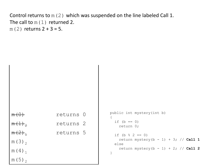Control returns to  $m(2)$  which was suspended on the line labeled Call 1. The call to  $m(1)$  returned 2. m(2) returns  $2 + 3 = 5$ .

 $m(0)$  returns 0 returns 2  $m(2)<sub>1</sub>$  returns 5 m(3)<sub>2</sub> m(4)<sub>1</sub> m (5)  $\frac{1}{2}$ public int mystery(int b) { if  $(b == 0)$  return 0; if (b  $% 2 == 0$ ) return mystery( $b - 1$ ) + 3; // **Call 1**  else return mystery(b - 1) + 2; // **Call 2** }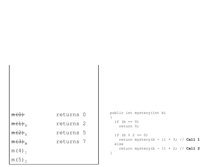|                     | returns 0 |  |
|---------------------|-----------|--|
| $m(1)$ <sub>2</sub> | returns 2 |  |
| $m(2)_{1}$          | returns 5 |  |
| $m(3)_{2}$          | returns 7 |  |
| $m(4)$ <sub>1</sub> |           |  |
| m (5) $\sigma$      |           |  |

```
public int mystery(int b) {
  if (b == 0) return 0;
  if (b % 2 == 0)
 return mystery(b 
- 1) + 3; // Call 1
   else
 return mystery(b 
- 1) + 2; // Call 2
}
```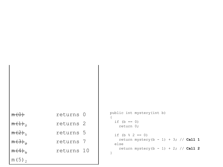| $m \left(\cup\right)$ | returns 0            |  |
|-----------------------|----------------------|--|
| $m(1)$ <sub>2</sub>   | returns <sub>2</sub> |  |
| $m(2)_{1}$            | returns 5            |  |
| $m(3)$ <sub>2</sub>   | returns 7            |  |
| $m(4)_{1}$            | returns 10           |  |
| $m(5)$ <sub>2</sub>   |                      |  |

```
public int mystery(int b) {
  if (b == 0) return 0;
  if (b % 2 == 0)
 return mystery(b 
- 1) + 3; // Call 1
   else
 return mystery(b 
- 1) + 2; // Call 2
}
```